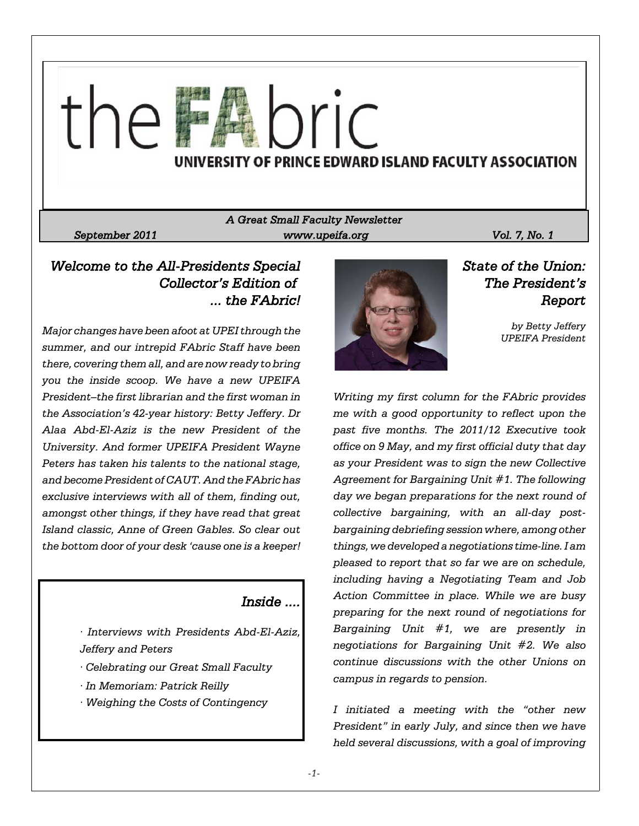

*A Great Small Faculty Newsletter September 2011 www.upeifa.org Vol. 7, No. 1*

# *Welcome to the All-Presidents Special Collector's Edition of ... the FAbric!*

*Major changes have been afoot at UPEI through the summer, and our intrepid FAbric Staff have been there, covering them all, and are now ready to bring you the inside scoop. We have a new UPEIFA President–the first librarian and the first woman in the Association's 42-year history: Betty Jeffery. Dr Alaa Abd-El-Aziz is the new President of the University. And former UPEIFA President Wayne Peters has taken his talents to the national stage, and become President of CAUT. And the FAbric has exclusive interviews with all of them, finding out, amongst other things, if they have read that great Island classic, Anne of Green Gables. So clear out the bottom door of your desk 'cause one is a keeper!*

### *Inside ....*

*· Interviews with Presidents Abd-El-Aziz, Jeffery and Peters*

- *· Celebrating our Great Small Faculty*
- *· In Memoriam: Patrick Reilly*
- *· Weighing the Costs of Contingency*



*State of the Union: The President's Report*

*by Betty Jeffery UPEIFA President*

*Writing my first column for the FAbric provides me with a good opportunity to reflect upon the past five months. The 2011/12 Executive took office on 9 May, and my first official duty that day as your President was to sign the new Collective Agreement for Bargaining Unit #1. The following day we began preparations for the next round of collective bargaining, with an all-day postbargaining debriefing session where, among other things, we developed a negotiations time-line. I am pleased to report that so far we are on schedule, including having a Negotiating Team and Job Action Committee in place. While we are busy preparing for the next round of negotiations for Bargaining Unit #1, we are presently in negotiations for Bargaining Unit #2. We also continue discussions with the other Unions on campus in regards to pension.*

*I initiated a meeting with the "other new President" in early July, and since then we have held several discussions, with a goal of improving*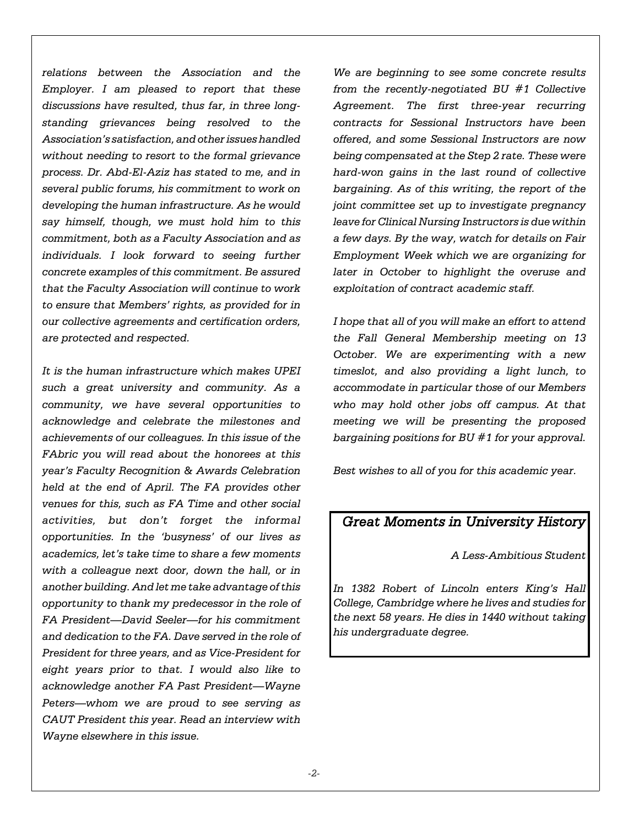*relations between the Association and the Employer. I am pleased to report that these discussions have resulted, thus far, in three longstanding grievances being resolved to the Association's satisfaction, and other issues handled without needing to resort to the formal grievance process. Dr. Abd-El-Aziz has stated to me, and in several public forums, his commitment to work on developing the human infrastructure. As he would say himself, though, we must hold him to this commitment, both as a Faculty Association and as individuals. I look forward to seeing further concrete examples of this commitment. Be assured that the Faculty Association will continue to work to ensure that Members' rights, as provided for in our collective agreements and certification orders, are protected and respected.*

*It is the human infrastructure which makes UPEI such a great university and community. As a community, we have several opportunities to acknowledge and celebrate the milestones and achievements of our colleagues. In this issue of the FAbric you will read about the honorees at this year's Faculty Recognition & Awards Celebration held at the end of April. The FA provides other venues for this, such as FA Time and other social activities, but don't forget the informal opportunities. In the 'busyness' of our lives as academics, let's take time to share a few moments with a colleague next door, down the hall, or in another building. And let me take advantage of this opportunity to thank my predecessor in the role of FA President—David Seeler—for his commitment and dedication to the FA. Dave served in the role of President for three years, and as Vice-President for eight years prior to that. I would also like to acknowledge another FA Past President—Wayne Peters—whom we are proud to see serving as CAUT President this year. Read an interview with Wayne elsewhere in this issue.*

*We are beginning to see some concrete results from the recently-negotiated BU #1 Collective Agreement. The first three-year recurring contracts for Sessional Instructors have been offered, and some Sessional Instructors are now being compensated at the Step 2 rate. These were hard-won gains in the last round of collective bargaining. As of this writing, the report of the joint committee set up to investigate pregnancy leave for Clinical Nursing Instructors is due within a few days. By the way, watch for details on Fair Employment Week which we are organizing for later in October to highlight the overuse and exploitation of contract academic staff.* 

*I hope that all of you will make an effort to attend the Fall General Membership meeting on 13 October. We are experimenting with a new timeslot, and also providing a light lunch, to accommodate in particular those of our Members who may hold other jobs off campus. At that meeting we will be presenting the proposed bargaining positions for BU #1 for your approval.*

*Best wishes to all of you for this academic year.*

# *Great Moments in University History*

*A Less-Ambitious Student*

*In 1382 Robert of Lincoln enters King's Hall College, Cambridge where he lives and studies for the next 58 years. He dies in 1440 without taking his undergraduate degree.*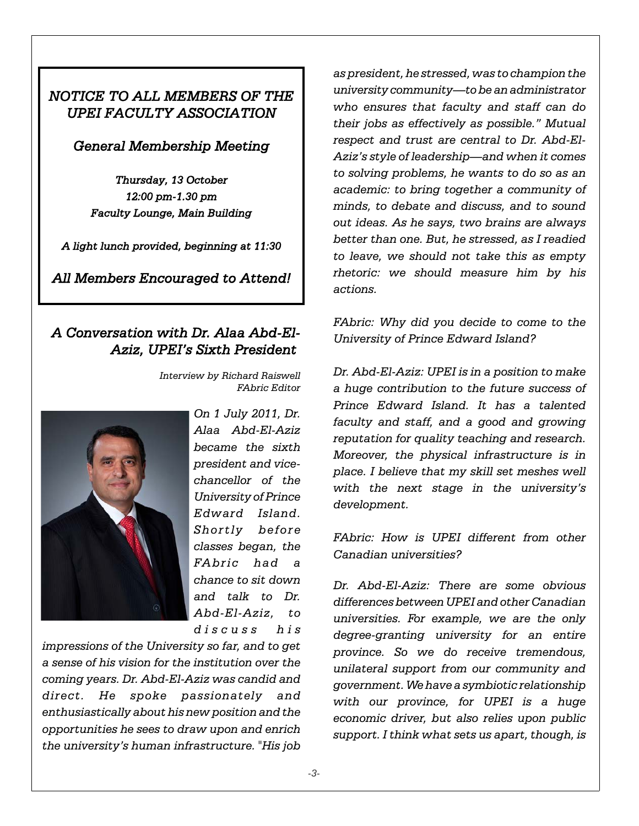# *NOTICE TO ALL MEMBERS OF THE UPEI FACULTY ASSOCIATION*

### *General Membership Meeting*

*Thursday, 13 October 12:00 pm-1.30 pm Faculty Lounge, Main Building*

*A light lunch provided, beginning at 11:30*

*All Members Encouraged to Attend!*

# *A Conversation with Dr. Alaa Abd-El-Aziz, UPEI's Sixth President*

*Interview by Richard Raiswell FAbric Editor*



*On 1 July 2011, Dr. Alaa Abd-El-Aziz became the sixth president and vicechancellor of the University of Prince Edward Island. Shortly before classes began, the FAbric had a chance to sit down and talk to Dr. Abd-El-Aziz, to discuss his*

*impressions of the University so far, and to get a sense of his vision for the institution over the coming years. Dr. Abd-El-Aziz was candid and direct. He spoke passionately and enthusiastically about his new position and the opportunities he sees to draw upon and enrich the university's human infrastructure. "His job*

*as president, he stressed, was to champion the university community—to be an administrator who ensures that faculty and staff can do their jobs as effectively as possible." Mutual respect and trust are central to Dr. Abd-El-Aziz's style of leadership—and when it comes to solving problems, he wants to do so as an academic: to bring together a community of minds, to debate and discuss, and to sound out ideas. As he says, two brains are always better than one. But, he stressed, as I readied to leave, we should not take this as empty rhetoric: we should measure him by his actions.*

*FAbric: Why did you decide to come to the University of Prince Edward Island?*

*Dr. Abd-El-Aziz: UPEI is in a position to make a huge contribution to the future success of Prince Edward Island. It has a talented faculty and staff, and a good and growing reputation for quality teaching and research. Moreover, the physical infrastructure is in place. I believe that my skill set meshes well with the next stage in the university's development.*

*FAbric: How is UPEI different from other Canadian universities?*

*Dr. Abd-El-Aziz: There are some obvious differences between UPEI and other Canadian universities. For example, we are the only degree-granting university for an entire province. So we do receive tremendous, unilateral support from our community and government. We have a symbiotic relationship with our province, for UPEI is a huge economic driver, but also relies upon public support. I think what sets us apart, though, is*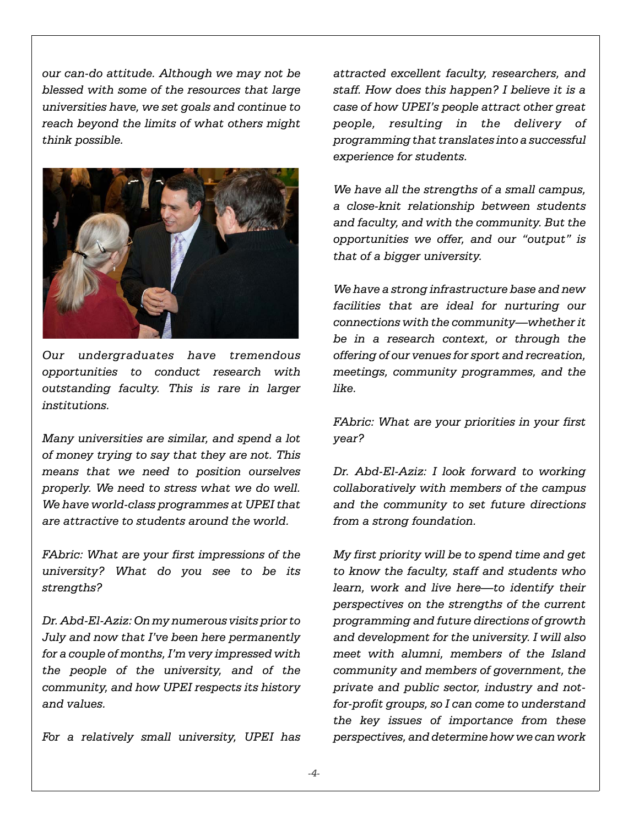*our can-do attitude. Although we may not be blessed with some of the resources that large universities have, we set goals and continue to reach beyond the limits of what others might think possible.* 



*Our undergraduates have tremendous opportunities to conduct research with outstanding faculty. This is rare in larger institutions.*

*Many universities are similar, and spend a lot of money trying to say that they are not. This means that we need to position ourselves properly. We need to stress what we do well. We have world-class programmes at UPEI that are attractive to students around the world.*

*FAbric: What are your first impressions of the university? What do you see to be its strengths?*

*Dr. Abd-El-Aziz: On my numerous visits prior to July and now that I've been here permanently for a couple of months, I'm very impressed with the people of the university, and of the community, and how UPEI respects its history and values.*

*For a relatively small university, UPEI has*

*attracted excellent faculty, researchers, and staff. How does this happen? I believe it is a case of how UPEI's people attract other great people, resulting in the delivery of programming that translates into a successful experience for students.*

*We have all the strengths of a small campus, a close-knit relationship between students and faculty, and with the community. But the opportunities we offer, and our "output" is that of a bigger university.*

*We have a strong infrastructure base and new facilities that are ideal for nurturing our connections with the community—whether it be in a research context, or through the offering of our venues for sport and recreation, meetings, community programmes, and the like.*

*FAbric: What are your priorities in your first year?*

*Dr. Abd-El-Aziz: I look forward to working collaboratively with members of the campus and the community to set future directions from a strong foundation.*

*My first priority will be to spend time and get to know the faculty, staff and students who learn, work and live here—to identify their perspectives on the strengths of the current programming and future directions of growth and development for the university. I will also meet with alumni, members of the Island community and members of government, the private and public sector, industry and notfor-profit groups, so I can come to understand the key issues of importance from these perspectives, and determine how we can work*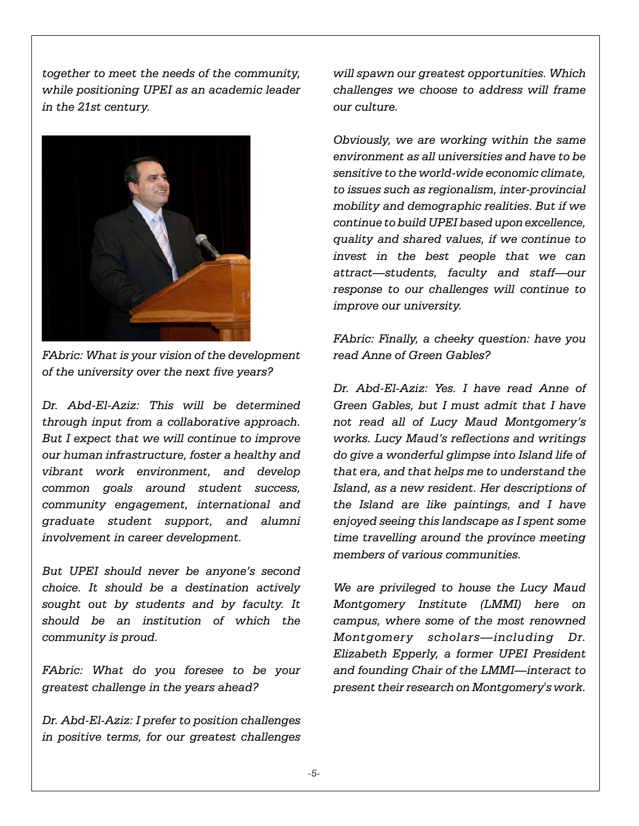*together to meet the needs of the community, while positioning UPEI as an academic leader in the 21st century.*



*FAbric: What is your vision of the development of the university over the next five years?*

*Dr. Abd-El-Aziz: This will be determined through input from a collaborative approach. But I expect that we will continue to improve our human infrastructure, foster a healthy and vibrant work environment, and develop common goals around student success, community engagement, international and graduate student support, and alumni involvement in career development.*

*But UPEI should never be anyone's second choice. It should be a destination actively sought out by students and by faculty. It should be an institution of which the community is proud.*

*FAbric: What do you foresee to be your greatest challenge in the years ahead?*

*Dr. Abd-El-Aziz: I prefer to position challenges in positive terms, for our greatest challenges*

*will spawn our greatest opportunities. Which challenges we choose to address will frame our culture.* 

*Obviously, we are working within the same environment as all universities and have to be sensitive to the world-wide economic climate, to issues such as regionalism, inter-provincial mobility and demographic realities. But if we continue to build UPEI based upon excellence, quality and shared values, if we continue to invest in the best people that we can attract—students, faculty and staff—our response to our challenges will continue to improve our university.*

*FAbric: Finally, a cheeky question: have you read Anne of Green Gables?*

*Dr. Abd-El-Aziz: Yes. I have read Anne of Green Gables, but I must admit that I have not read all of Lucy Maud Montgomery's works. Lucy Maud's reflections and writings do give a wonderful glimpse into Island life of that era, and that helps me to understand the Island, as a new resident. Her descriptions of the Island are like paintings, and I have enjoyed seeing this landscape as I spent some time travelling around the province meeting members of various communities.*

*We are privileged to house the Lucy Maud Montgomery Institute (LMMI) here on campus, where some of the most renowned Montgomery scholars—including Dr. Elizabeth Epperly, a former UPEI President and founding Chair of the LMMI—interact to present their research on Montgomery's work.*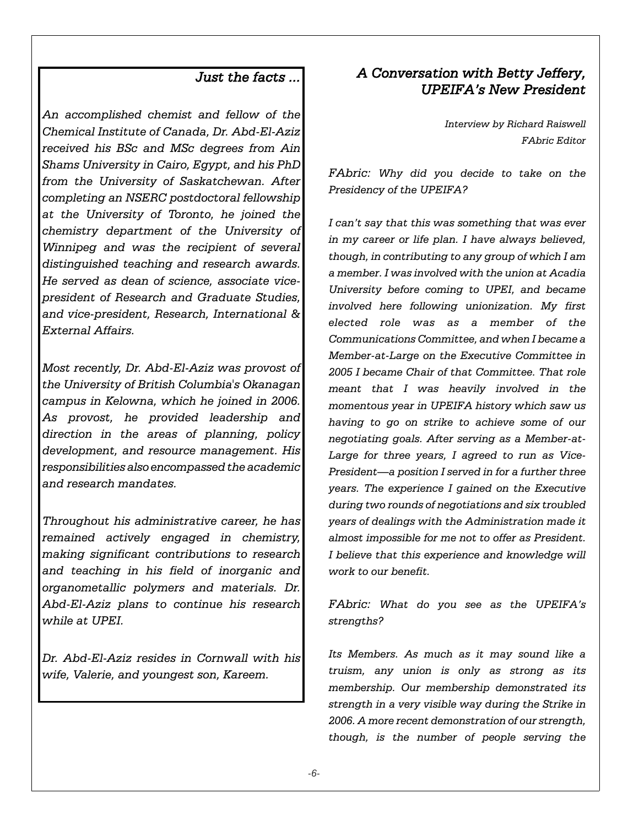### *Just the facts ...*

*An accomplished chemist and fellow of the Chemical Institute of Canada, Dr. Abd-El-Aziz received his BSc and MSc degrees from Ain Shams University in Cairo, Egypt, and his PhD from the University of Saskatchewan. After completing an NSERC postdoctoral fellowship at the University of Toronto, he joined the chemistry department of the University of Winnipeg and was the recipient of several distinguished teaching and research awards. He served as dean of science, associate vicepresident of Research and Graduate Studies, and vice-president, Research, International & External Affairs.*

*Most recently, Dr. Abd-El-Aziz was provost of the University of British Columbia's Okanagan campus in Kelowna, which he joined in 2006. As provost, he provided leadership and direction in the areas of planning, policy development, and resource management. His responsibilities also encompassed the academic and research mandates.*

*Throughout his administrative career, he has remained actively engaged in chemistry, making significant contributions to research and teaching in his field of inorganic and organometallic polymers and materials. Dr. Abd-El-Aziz plans to continue his research while at UPEI.*

*Dr. Abd-El-Aziz resides in Cornwall with his wife, Valerie, and youngest son, Kareem.*

# *A Conversation with Betty Jeffery, UPEIFA's New President*

*Interview by Richard Raiswell FAbric Editor*

*FAbric: Why did you decide to take on the Presidency of the UPEIFA?*

*I can't say that this was something that was ever in my career or life plan. I have always believed, though, in contributing to any group of which I am a member. I was involved with the union at Acadia University before coming to UPEI, and became involved here following unionization. My first elected role was as a member of the Communications Committee, and when I became a Member-at-Large on the Executive Committee in 2005 I became Chair of that Committee. That role meant that I was heavily involved in the momentous year in UPEIFA history which saw us having to go on strike to achieve some of our negotiating goals. After serving as a Member-at-Large for three years, I agreed to run as Vice-President—a position I served in for a further three years. The experience I gained on the Executive during two rounds of negotiations and six troubled years of dealings with the Administration made it almost impossible for me not to offer as President. I believe that this experience and knowledge will work to our benefit.*

*FAbric: What do you see as the UPEIFA's strengths?*

*Its Members. As much as it may sound like a truism, any union is only as strong as its membership. Our membership demonstrated its strength in a very visible way during the Strike in 2006. A more recent demonstration of our strength, though, is the number of people serving the*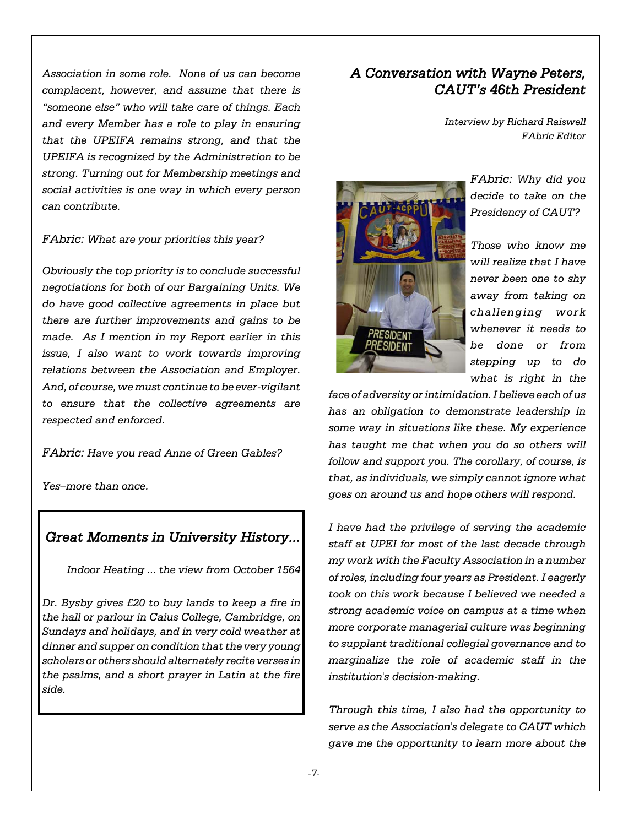*Association in some role. None of us can become complacent, however, and assume that there is "someone else" who will take care of things. Each and every Member has a role to play in ensuring that the UPEIFA remains strong, and that the UPEIFA is recognized by the Administration to be strong. Turning out for Membership meetings and social activities is one way in which every person can contribute.*

*FAbric: What are your priorities this year?*

*Obviously the top priority is to conclude successful negotiations for both of our Bargaining Units. We do have good collective agreements in place but there are further improvements and gains to be made. As I mention in my Report earlier in this issue, I also want to work towards improving relations between the Association and Employer. And, of course, we must continue to be ever-vigilant to ensure that the collective agreements are respected and enforced.*

*FAbric: Have you read Anne of Green Gables?*

*Yes–more than once.*

# *Great Moments in University History...*

*Indoor Heating ... the view from October 1564*

*Dr. Bysby gives £20 to buy lands to keep a fire in the hall or parlour in Caius College, Cambridge, on Sundays and holidays, and in very cold weather at dinner and supper on condition that the very young scholars or others should alternately recite verses in the psalms, and a short prayer in Latin at the fire side.*

# *A Conversation with Wayne Peters, CAUT's 46th President*

*Interview by Richard Raiswell FAbric Editor*



*FAbric: Why did you decide to take on the Presidency of CAUT?*

*Those who know me will realize that I have never been one to shy away from taking on challenging work whenever it needs to be done or from stepping up to do what is right in the*

*face of adversity or intimidation. I believe each of us has an obligation to demonstrate leadership in some way in situations like these. My experience has taught me that when you do so others will follow and support you. The corollary, of course, is that, as individuals, we simply cannot ignore what goes on around us and hope others will respond.*

*I have had the privilege of serving the academic staff at UPEI for most of the last decade through my work with the Faculty Association in a number of roles, including four years as President. I eagerly took on this work because I believed we needed a strong academic voice on campus at a time when more corporate managerial culture was beginning to supplant traditional collegial governance and to marginalize the role of academic staff in the institution's decision-making.*

*Through this time, I also had the opportunity to serve as the Association's delegate to CAUT which gave me the opportunity to learn more about the*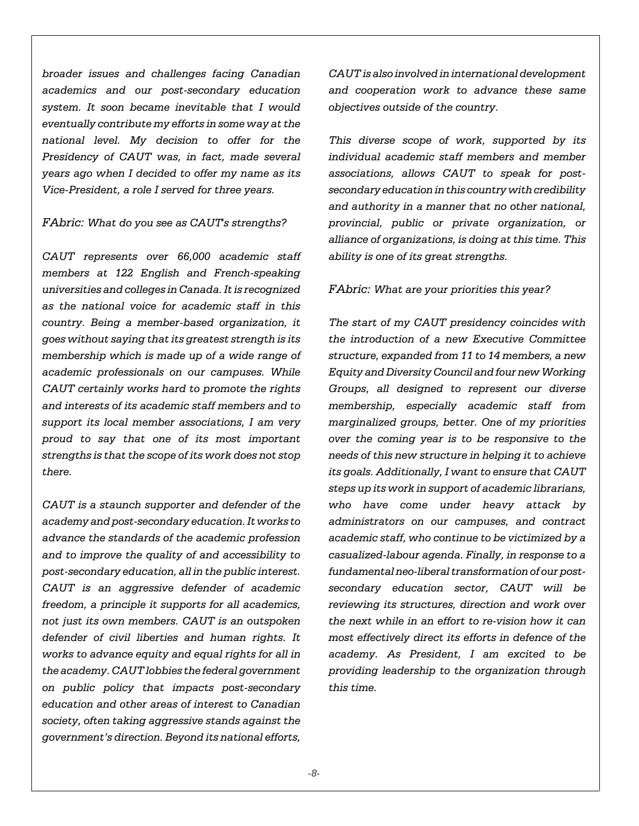*broader issues and challenges facing Canadian academics and our post-secondary education system. It soon became inevitable that I would eventually contribute my efforts in some way at the national level. My decision to offer for the Presidency of CAUT was, in fact, made several years ago when I decided to offer my name as its Vice-President, a role I served for three years.*

*FAbric: What do you see as CAUT's strengths?*

*CAUT represents over 66,000 academic staff members at 122 English and French-speaking universities and colleges in Canada. It is recognized as the national voice for academic staff in this country. Being a member-based organization, it goes without saying that its greatest strength is its membership which is made up of a wide range of academic professionals on our campuses. While CAUT certainly works hard to promote the rights and interests of its academic staff members and to support its local member associations, I am very proud to say that one of its most important strengths is that the scope of its work does not stop there.*

*CAUT is a staunch supporter and defender of the academy and post-secondary education. It works to advance the standards of the academic profession and to improve the quality of and accessibility to post-secondary education, all in the public interest. CAUT is an aggressive defender of academic freedom, a principle it supports for all academics, not just its own members. CAUT is an outspoken defender of civil liberties and human rights. It works to advance equity and equal rights for all in the academy. CAUT lobbies the federal government on public policy that impacts post-secondary education and other areas of interest to Canadian society, often taking aggressive stands against the government's direction. Beyond its national efforts,*

*CAUT is also involved in international development and cooperation work to advance these same objectives outside of the country.*

*This diverse scope of work, supported by its individual academic staff members and member associations, allows CAUT to speak for postsecondary education in this country with credibility and authority in a manner that no other national, provincial, public or private organization, or alliance of organizations, is doing at this time. This ability is one of its great strengths.*

#### *FAbric: What are your priorities this year?*

*The start of my CAUT presidency coincides with the introduction of a new Executive Committee structure, expanded from 11 to 14 members, a new Equity and Diversity Council and four new Working Groups, all designed to represent our diverse membership, especially academic staff from marginalized groups, better. One of my priorities over the coming year is to be responsive to the needs of this new structure in helping it to achieve its goals. Additionally, I want to ensure that CAUT steps up its work in support of academic librarians, who have come under heavy attack by administrators on our campuses, and contract academic staff, who continue to be victimized by a casualized-labour agenda. Finally, in response to a fundamental neo-liberal transformation of our postsecondary education sector, CAUT will be reviewing its structures, direction and work over the next while in an effort to re-vision how it can most effectively direct its efforts in defence of the academy. As President, I am excited to be providing leadership to the organization through this time.*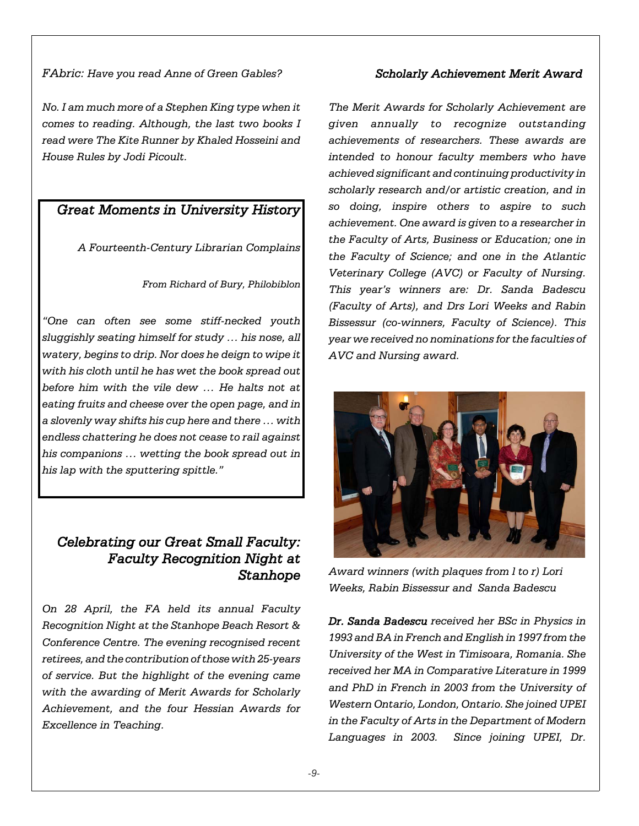#### *FAbric: Have you read Anne of Green Gables?*

*No. I am much more of a Stephen King type when it comes to reading. Although, the last two books I read were The Kite Runner by Khaled Hosseini and House Rules by Jodi Picoult.*

### *Great Moments in University History*

*A Fourteenth-Century Librarian Complains*

*From Richard of Bury, Philobiblon*

*"One can often see some stiff-necked youth sluggishly seating himself for study … his nose, all watery, begins to drip. Nor does he deign to wipe it with his cloth until he has wet the book spread out before him with the vile dew … He halts not at eating fruits and cheese over the open page, and in a slovenly way shifts his cup here and there … with endless chattering he does not cease to rail against his companions … wetting the book spread out in his lap with the sputtering spittle."*

# *Celebrating our Great Small Faculty: Faculty Recognition Night at Stanhope*

*On 28 April, the FA held its annual Faculty Recognition Night at the Stanhope Beach Resort & Conference Centre. The evening recognised recent retirees, and the contribution of those with 25-years of service. But the highlight of the evening came with the awarding of Merit Awards for Scholarly Achievement, and the four Hessian Awards for Excellence in Teaching.*

### *Scholarly Achievement Merit Award*

*The Merit Awards for Scholarly Achievement are given annually to recognize outstanding achievements of researchers. These awards are intended to honour faculty members who have achieved significant and continuing productivity in scholarly research and/or artistic creation, and in so doing, inspire others to aspire to such achievement. One award is given to a researcher in the Faculty of Arts, Business or Education; one in the Faculty of Science; and one in the Atlantic Veterinary College (AVC) or Faculty of Nursing. This year's winners are: Dr. Sanda Badescu (Faculty of Arts), and Drs Lori Weeks and Rabin Bissessur (co-winners, Faculty of Science). This year we received no nominations for the faculties of AVC and Nursing award.*



*Award winners (with plaques from l to r) Lori Weeks, Rabin Bissessur and Sanda Badescu* 

*Dr. Sanda Badescu received her BSc in Physics in 1993 and BA in French and English in 1997 from the University of the West in Timisoara, Romania. She received her MA in Comparative Literature in 1999 and PhD in French in 2003 from the University of Western Ontario, London, Ontario. She joined UPEI in the Faculty of Arts in the Department of Modern Languages in 2003. Since joining UPEI, Dr.*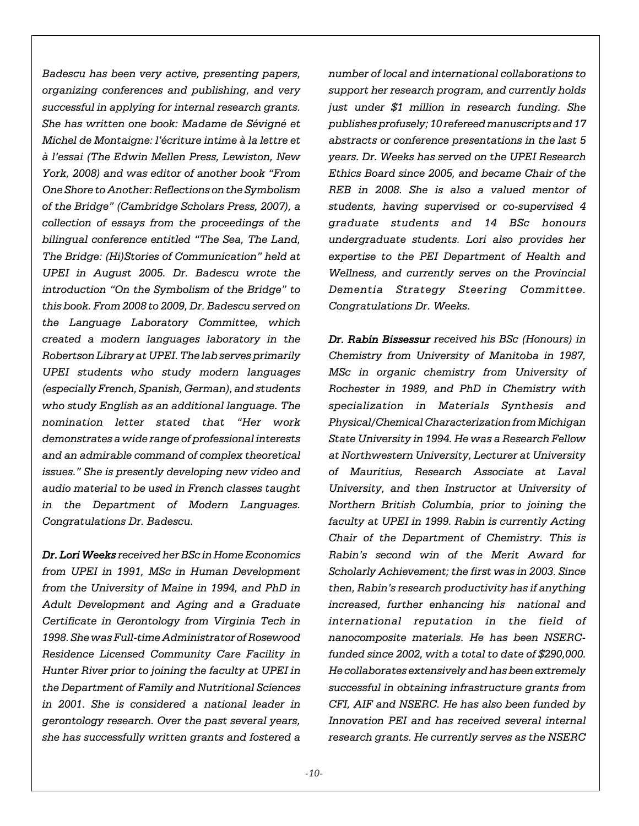*Badescu has been very active, presenting papers, organizing conferences and publishing, and very successful in applying for internal research grants. She has written one book: Madame de Sévigné et Michel de Montaigne: l'écriture intime à la lettre et à l'essai (The Edwin Mellen Press, Lewiston, New York, 2008) and was editor of another book "From One Shore to Another: Reflections on the Symbolism of the Bridge" (Cambridge Scholars Press, 2007), a collection of essays from the proceedings of the bilingual conference entitled "The Sea, The Land, The Bridge: (Hi)Stories of Communication" held at UPEI in August 2005. Dr. Badescu wrote the introduction "On the Symbolism of the Bridge" to this book. From 2008 to 2009, Dr. Badescu served on the Language Laboratory Committee, which created a modern languages laboratory in the Robertson Library at UPEI. The lab serves primarily UPEI students who study modern languages (especially French, Spanish, German), and students who study English as an additional language. The nomination letter stated that "Her work demonstrates a wide range of professional interests and an admirable command of complex theoretical issues." She is presently developing new video and audio material to be used in French classes taught in the Department of Modern Languages. Congratulations Dr. Badescu.*

*Dr. Lori Weeks received her BSc in Home Economics from UPEI in 1991, MSc in Human Development from the University of Maine in 1994, and PhD in Adult Development and Aging and a Graduate Certificate in Gerontology from Virginia Tech in 1998. She was Full-time Administrator of Rosewood Residence Licensed Community Care Facility in Hunter River prior to joining the faculty at UPEI in the Department of Family and Nutritional Sciences in 2001. She is considered a national leader in gerontology research. Over the past several years, she has successfully written grants and fostered a*

*number of local and international collaborations to support her research program, and currently holds just under \$1 million in research funding. She publishes profusely; 10 refereed manuscripts and 17 abstracts or conference presentations in the last 5 years. Dr. Weeks has served on the UPEI Research Ethics Board since 2005, and became Chair of the REB in 2008. She is also a valued mentor of students, having supervised or co-supervised 4 graduate students and 14 BSc honours undergraduate students. Lori also provides her expertise to the PEI Department of Health and Wellness, and currently serves on the Provincial Dementia Strategy Steering Committee. Congratulations Dr. Weeks.*

*Dr. Rabin Bissessur received his BSc (Honours) in Chemistry from University of Manitoba in 1987, MSc in organic chemistry from University of Rochester in 1989, and PhD in Chemistry with specialization in Materials Synthesis and Physical/Chemical Characterization from Michigan State University in 1994. He was a Research Fellow at Northwestern University, Lecturer at University of Mauritius, Research Associate at Laval University, and then Instructor at University of Northern British Columbia, prior to joining the faculty at UPEI in 1999. Rabin is currently Acting Chair of the Department of Chemistry. This is Rabin's second win of the Merit Award for Scholarly Achievement; the first was in 2003. Since then, Rabin's research productivity has if anything increased, further enhancing his national and international reputation in the field of nanocomposite materials. He has been NSERCfunded since 2002, with a total to date of \$290,000. He collaborates extensively and has been extremely successful in obtaining infrastructure grants from CFI, AIF and NSERC. He has also been funded by Innovation PEI and has received several internal research grants. He currently serves as the NSERC*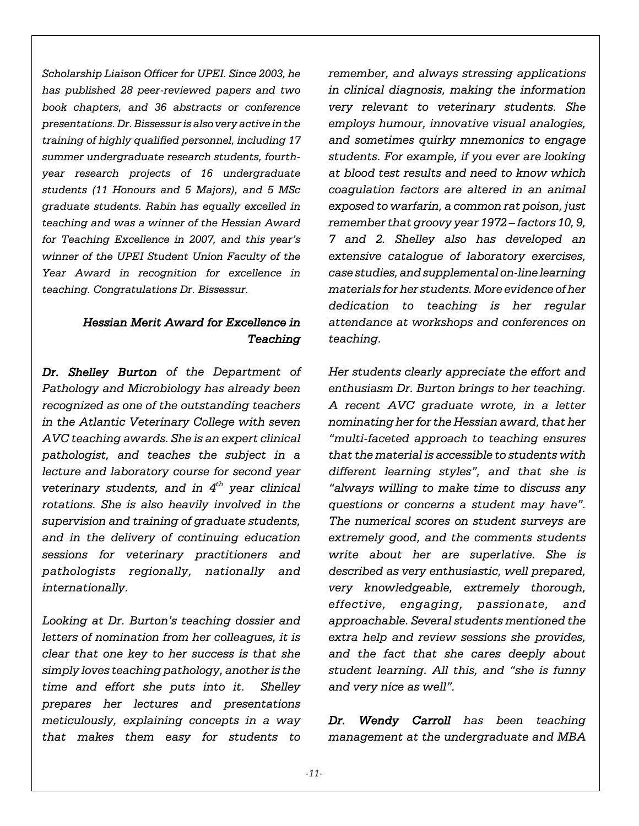*Scholarship Liaison Officer for UPEI. Since 2003, he has published 28 peer-reviewed papers and two book chapters, and 36 abstracts or conference presentations. Dr. Bissessur is also very active in the training of highly qualified personnel, including 17 summer undergraduate research students, fourthyear research projects of 16 undergraduate students (11 Honours and 5 Majors), and 5 MSc graduate students. Rabin has equally excelled in teaching and was a winner of the Hessian Award for Teaching Excellence in 2007, and this year's winner of the UPEI Student Union Faculty of the Year Award in recognition for excellence in teaching. Congratulations Dr. Bissessur.*

### *Hessian Merit Award for Excellence in Teaching*

*Dr. Shelley Burton of the Department of Pathology and Microbiology has already been recognized as one of the outstanding teachers in the Atlantic Veterinary College with seven AVC teaching awards. She is an expert clinical pathologist, and teaches the subject in a lecture and laboratory course for second year veterinary students, and in 4th year clinical rotations. She is also heavily involved in the supervision and training of graduate students, and in the delivery of continuing education sessions for veterinary practitioners and pathologists regionally, nationally and internationally.* 

*Looking at Dr. Burton's teaching dossier and letters of nomination from her colleagues, it is clear that one key to her success is that she simply loves teaching pathology, another is the time and effort she puts into it. Shelley prepares her lectures and presentations meticulously, explaining concepts in a way that makes them easy for students to* *remember, and always stressing applications in clinical diagnosis, making the information very relevant to veterinary students. She employs humour, innovative visual analogies, and sometimes quirky mnemonics to engage students. For example, if you ever are looking at blood test results and need to know which coagulation factors are altered in an animal exposed to warfarin, a common rat poison, just remember that groovy year 1972 – factors 10, 9, 7 and 2. Shelley also has developed an extensive catalogue of laboratory exercises, case studies, and supplemental on-line learning materials for her students. More evidence of her dedication to teaching is her regular attendance at workshops and conferences on teaching.* 

*Her students clearly appreciate the effort and enthusiasm Dr. Burton brings to her teaching. A recent AVC graduate wrote, in a letter nominating her for the Hessian award, that her "multi-faceted approach to teaching ensures that the material is accessible to students with different learning styles", and that she is "always willing to make time to discuss any questions or concerns a student may have". The numerical scores on student surveys are extremely good, and the comments students write about her are superlative. She is described as very enthusiastic, well prepared, very knowledgeable, extremely thorough, effective, engaging, passionate, and approachable. Several students mentioned the extra help and review sessions she provides, and the fact that she cares deeply about student learning. All this, and "she is funny and very nice as well".* 

*Dr. Wendy Carroll has been teaching management at the undergraduate and MBA*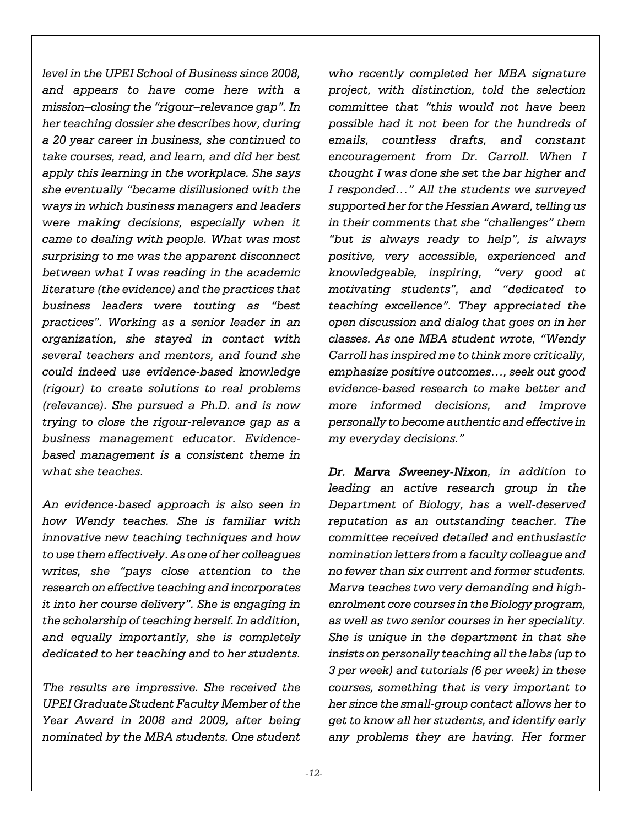*level in the UPEI School of Business since 2008, and appears to have come here with a mission–closing the "rigour–relevance gap". In her teaching dossier she describes how, during a 20 year career in business, she continued to take courses, read, and learn, and did her best apply this learning in the workplace. She says she eventually "became disillusioned with the ways in which business managers and leaders were making decisions, especially when it came to dealing with people. What was most surprising to me was the apparent disconnect between what I was reading in the academic literature (the evidence) and the practices that business leaders were touting as "best practices". Working as a senior leader in an organization, she stayed in contact with several teachers and mentors, and found she could indeed use evidence-based knowledge (rigour) to create solutions to real problems (relevance). She pursued a Ph.D. and is now trying to close the rigour-relevance gap as a business management educator. Evidencebased management is a consistent theme in what she teaches.* 

*An evidence-based approach is also seen in how Wendy teaches. She is familiar with innovative new teaching techniques and how to use them effectively. As one of her colleagues writes, she "pays close attention to the research on effective teaching and incorporates it into her course delivery". She is engaging in the scholarship of teaching herself. In addition, and equally importantly, she is completely dedicated to her teaching and to her students.*

*The results are impressive. She received the UPEI Graduate Student Faculty Member of the Year Award in 2008 and 2009, after being nominated by the MBA students. One student* *who recently completed her MBA signature project, with distinction, told the selection committee that "this would not have been possible had it not been for the hundreds of emails, countless drafts, and constant encouragement from Dr. Carroll. When I thought I was done she set the bar higher and I responded…" All the students we surveyed supported her for the Hessian Award, telling us in their comments that she "challenges" them "but is always ready to help", is always positive, very accessible, experienced and knowledgeable, inspiring, "very good at motivating students", and "dedicated to teaching excellence". They appreciated the open discussion and dialog that goes on in her classes. As one MBA student wrote, "Wendy Carroll has inspired me to think more critically, emphasize positive outcomes…, seek out good evidence-based research to make better and more informed decisions, and improve personally to become authentic and effective in my everyday decisions."*

*Dr. Marva Sweeney-Nixon, in addition to leading an active research group in the Department of Biology, has a well-deserved reputation as an outstanding teacher. The committee received detailed and enthusiastic nomination letters from a faculty colleague and no fewer than six current and former students. Marva teaches two very demanding and highenrolment core courses in the Biology program, as well as two senior courses in her speciality. She is unique in the department in that she insists on personally teaching all the labs (up to 3 per week) and tutorials (6 per week) in these courses, something that is very important to her since the small-group contact allows her to get to know all her students, and identify early any problems they are having. Her former*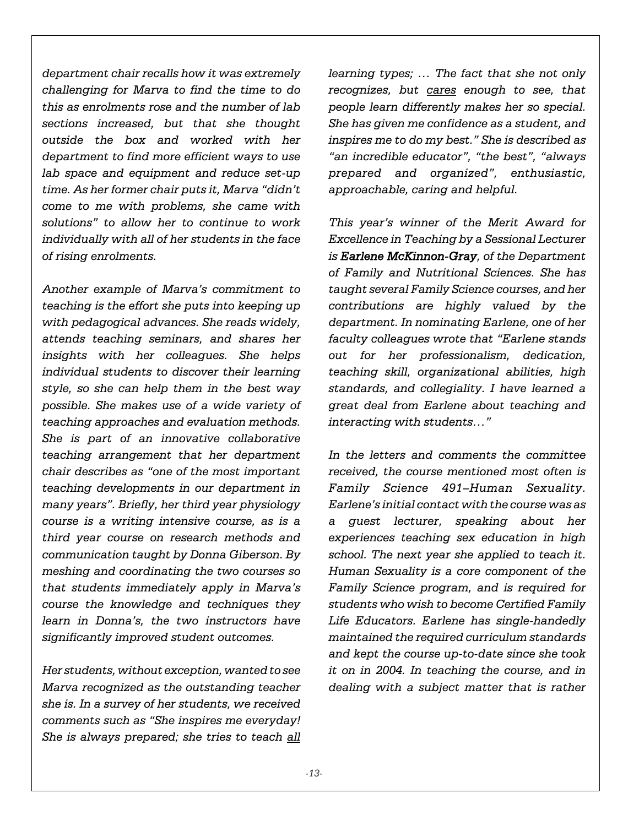*department chair recalls how it was extremely challenging for Marva to find the time to do this as enrolments rose and the number of lab sections increased, but that she thought outside the box and worked with her department to find more efficient ways to use lab space and equipment and reduce set-up time. As her former chair puts it, Marva "didn't come to me with problems, she came with solutions" to allow her to continue to work individually with all of her students in the face of rising enrolments.* 

*Another example of Marva's commitment to teaching is the effort she puts into keeping up with pedagogical advances. She reads widely, attends teaching seminars, and shares her insights with her colleagues. She helps individual students to discover their learning style, so she can help them in the best way possible. She makes use of a wide variety of teaching approaches and evaluation methods. She is part of an innovative collaborative teaching arrangement that her department chair describes as "one of the most important teaching developments in our department in many years". Briefly, her third year physiology course is a writing intensive course, as is a third year course on research methods and communication taught by Donna Giberson. By meshing and coordinating the two courses so that students immediately apply in Marva's course the knowledge and techniques they learn in Donna's, the two instructors have significantly improved student outcomes.*

*Her students, without exception, wanted to see Marva recognized as the outstanding teacher she is. In a survey of her students, we received comments such as "She inspires me everyday! She is always prepared; she tries to teach all*

*learning types; … The fact that she not only recognizes, but cares enough to see, that people learn differently makes her so special. She has given me confidence as a student, and inspires me to do my best." She is described as "an incredible educator", "the best", "always prepared and organized", enthusiastic, approachable, caring and helpful.* 

*This year's winner of the Merit Award for Excellence in Teaching by a Sessional Lecturer is Earlene McKinnon-Gray, of the Department of Family and Nutritional Sciences. She has taught several Family Science courses, and her contributions are highly valued by the department. In nominating Earlene, one of her faculty colleagues wrote that "Earlene stands out for her professionalism, dedication, teaching skill, organizational abilities, high standards, and collegiality. I have learned a great deal from Earlene about teaching and interacting with students…"*

*In the letters and comments the committee received, the course mentioned most often is Family Science 491–Human Sexuality. Earlene's initial contact with the course was as a guest lecturer, speaking about her experiences teaching sex education in high school. The next year she applied to teach it. Human Sexuality is a core component of the Family Science program, and is required for students who wish to become Certified Family Life Educators. Earlene has single-handedly maintained the required curriculum standards and kept the course up-to-date since she took it on in 2004. In teaching the course, and in dealing with a subject matter that is rather*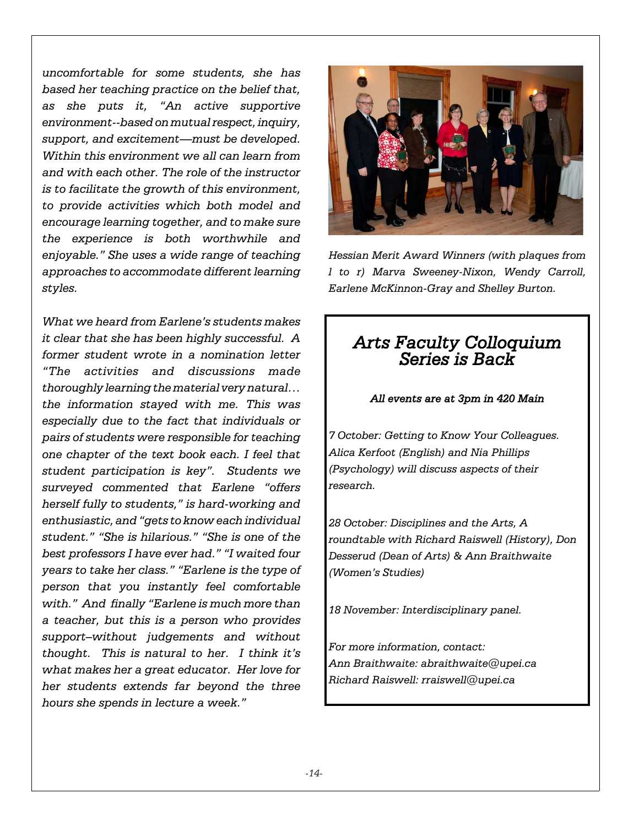*uncomfortable for some students, she has based her teaching practice on the belief that, as she puts it, "An active supportive environment--based on mutual respect, inquiry, support, and excitement—must be developed. Within this environment we all can learn from and with each other. The role of the instructor is to facilitate the growth of this environment, to provide activities which both model and encourage learning together, and to make sure the experience is both worthwhile and enjoyable." She uses a wide range of teaching approaches to accommodate different learning styles.*

*What we heard from Earlene's students makes it clear that she has been highly successful. A former student wrote in a nomination letter "The activities and discussions made thoroughly learning the material very natural… the information stayed with me. This was especially due to the fact that individuals or pairs of students were responsible for teaching one chapter of the text book each. I feel that student participation is key". Students we surveyed commented that Earlene "offers herself fully to students," is hard-working and enthusiastic, and "gets to know each individual student." "She is hilarious." "She is one of the best professors I have ever had." "I waited four years to take her class." "Earlene is the type of person that you instantly feel comfortable with." And finally "Earlene is much more than a teacher, but this is a person who provides support–without judgements and without thought. This is natural to her. I think it's what makes her a great educator. Her love for her students extends far beyond the three hours she spends in lecture a week."*



*Hessian Merit Award Winners (with plaques from l to r) Marva Sweeney-Nixon, Wendy Carroll, Earlene McKinnon-Gray and Shelley Burton.*

# *Arts Faculty Colloquium Series is Back*

### *All events are at 3pm in 420 Main*

*7 October: Getting to Know Your Colleagues. Alica Kerfoot (English) and Nia Phillips (Psychology) will discuss aspects of their research.*

*28 October: Disciplines and the Arts, A roundtable with Richard Raiswell (History), Don Desserud (Dean of Arts) & Ann Braithwaite (Women's Studies)*

*18 November: Interdisciplinary panel.*

*For more information, contact: Ann Braithwaite: abraithwaite@upei.ca Richard Raiswell: rraiswell@upei.ca*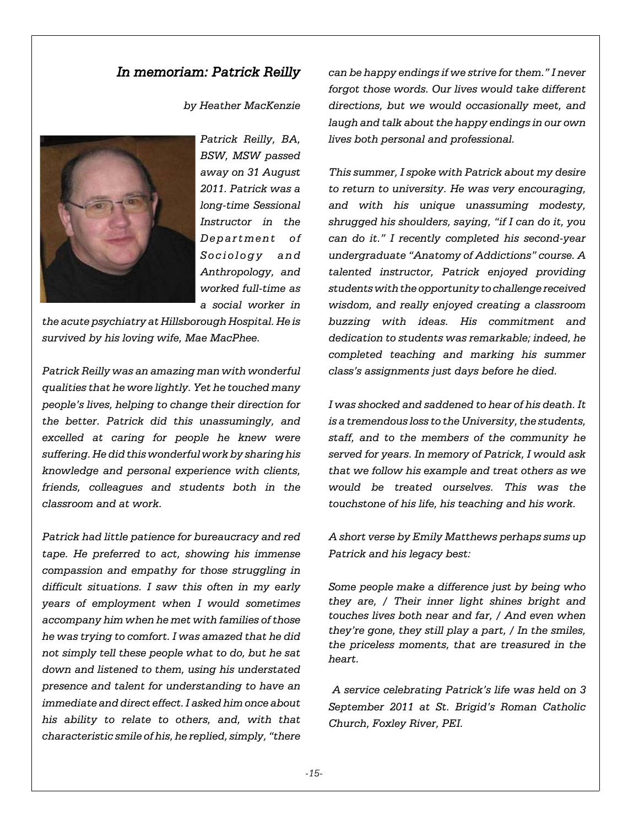### *In memoriam: Patrick Reilly*

*by Heather MacKenzie*



*Patrick Reilly, BA, BSW, MSW passed away on 31 August 2011. Patrick was a long-time Sessional Instructor in the Department of Sociology and Anthropology, and worked full-time as a social worker in*

*the acute psychiatry at Hillsborough Hospital. He is survived by his loving wife, Mae MacPhee.*

*Patrick Reilly was an amazing man with wonderful qualities that he wore lightly. Yet he touched many people's lives, helping to change their direction for the better. Patrick did this unassumingly, and excelled at caring for people he knew were suffering. He did this wonderful work by sharing his knowledge and personal experience with clients, friends, colleagues and students both in the classroom and at work.*

*Patrick had little patience for bureaucracy and red tape. He preferred to act, showing his immense compassion and empathy for those struggling in difficult situations. I saw this often in my early years of employment when I would sometimes accompany him when he met with families of those he was trying to comfort. I was amazed that he did not simply tell these people what to do, but he sat down and listened to them, using his understated presence and talent for understanding to have an immediate and direct effect. I asked him once about his ability to relate to others, and, with that characteristic smile of his, he replied, simply, "there*

*can be happy endings if we strive for them." I never forgot those words. Our lives would take different directions, but we would occasionally meet, and laugh and talk about the happy endings in our own lives both personal and professional.*

*This summer, I spoke with Patrick about my desire to return to university. He was very encouraging, and with his unique unassuming modesty, shrugged his shoulders, saying, "if I can do it, you can do it." I recently completed his second-year undergraduate "Anatomy of Addictions" course. A talented instructor, Patrick enjoyed providing students with the opportunity to challenge received wisdom, and really enjoyed creating a classroom buzzing with ideas. His commitment and dedication to students was remarkable; indeed, he completed teaching and marking his summer class's assignments just days before he died.*

*I was shocked and saddened to hear of his death. It is a tremendous loss to the University, the students, staff, and to the members of the community he served for years. In memory of Patrick, I would ask that we follow his example and treat others as we would be treated ourselves. This was the touchstone of his life, his teaching and his work.*

*A short verse by Emily Matthews perhaps sums up Patrick and his legacy best:*

*Some people make a difference just by being who they are, / Their inner light shines bright and touches lives both near and far, / And even when they're gone, they still play a part, / In the smiles, the priceless moments, that are treasured in the heart.*

 *A service celebrating Patrick's life was held on 3 September 2011 at St. Brigid's Roman Catholic Church, Foxley River, PEI.*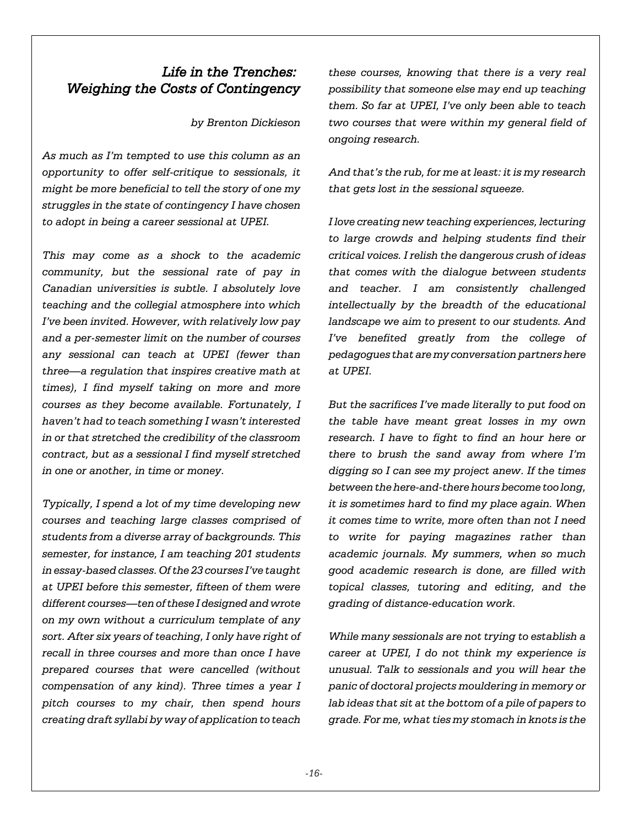# *Life in the Trenches: Weighing the Costs of Contingency*

*by Brenton Dickieson*

*As much as I'm tempted to use this column as an opportunity to offer self-critique to sessionals, it might be more beneficial to tell the story of one my struggles in the state of contingency I have chosen to adopt in being a career sessional at UPEI.* 

*This may come as a shock to the academic community, but the sessional rate of pay in Canadian universities is subtle. I absolutely love teaching and the collegial atmosphere into which I've been invited. However, with relatively low pay and a per-semester limit on the number of courses any sessional can teach at UPEI (fewer than three—a regulation that inspires creative math at times), I find myself taking on more and more courses as they become available. Fortunately, I haven't had to teach something I wasn't interested in or that stretched the credibility of the classroom contract, but as a sessional I find myself stretched in one or another, in time or money.* 

*Typically, I spend a lot of my time developing new courses and teaching large classes comprised of students from a diverse array of backgrounds. This semester, for instance, I am teaching 201 students in essay-based classes. Of the 23 courses I've taught at UPEI before this semester, fifteen of them were different courses—ten of these I designed and wrote on my own without a curriculum template of any sort. After six years of teaching, I only have right of recall in three courses and more than once I have prepared courses that were cancelled (without compensation of any kind). Three times a year I pitch courses to my chair, then spend hours creating draft syllabi by way of application to teach*

*these courses, knowing that there is a very real possibility that someone else may end up teaching them. So far at UPEI, I've only been able to teach two courses that were within my general field of ongoing research.* 

*And that's the rub, for me at least: it is my research that gets lost in the sessional squeeze.* 

*I love creating new teaching experiences, lecturing to large crowds and helping students find their critical voices. I relish the dangerous crush of ideas that comes with the dialogue between students and teacher. I am consistently challenged intellectually by the breadth of the educational landscape we aim to present to our students. And I've benefited greatly from the college of pedagogues that are my conversation partners here at UPEI.* 

*But the sacrifices I've made literally to put food on the table have meant great losses in my own research. I have to fight to find an hour here or there to brush the sand away from where I'm digging so I can see my project anew. If the times between the here-and-there hours become too long, it is sometimes hard to find my place again. When it comes time to write, more often than not I need to write for paying magazines rather than academic journals. My summers, when so much good academic research is done, are filled with topical classes, tutoring and editing, and the grading of distance-education work.* 

*While many sessionals are not trying to establish a career at UPEI, I do not think my experience is unusual. Talk to sessionals and you will hear the panic of doctoral projects mouldering in memory or lab ideas that sit at the bottom of a pile of papers to grade. For me, what ties my stomach in knots is the*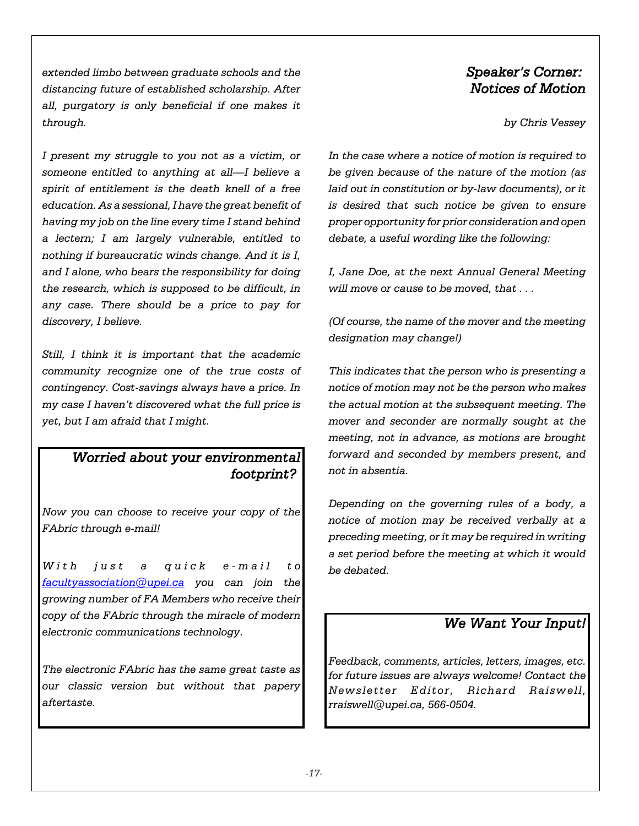*extended limbo between graduate schools and the distancing future of established scholarship. After all, purgatory is only beneficial if one makes it through.*

*I present my struggle to you not as a victim, or someone entitled to anything at all—I believe a spirit of entitlement is the death knell of a free education. As a sessional, I have the great benefit of having my job on the line every time I stand behind a lectern; I am largely vulnerable, entitled to nothing if bureaucratic winds change. And it is I, and I alone, who bears the responsibility for doing the research, which is supposed to be difficult, in any case. There should be a price to pay for discovery, I believe.*

*Still, I think it is important that the academic community recognize one of the true costs of contingency. Cost-savings always have a price. In my case I haven't discovered what the full price is yet, but I am afraid that I might.*

## *Worried about your environmental footprint?*

*Now you can choose to receive your copy of the FAbric through e-mail!*

*With just a quick e-mail to facultyassociation@upei.ca you can join the growing number of FA Members who receive their copy of the FAbric through the miracle of modern electronic communications technology.* 

*The electronic FAbric has the same great taste as our classic version but without that papery aftertaste.* 

# *Speaker's Corner: Notices of Motion*

*by Chris Vessey*

*In the case where a notice of motion is required to be given because of the nature of the motion (as laid out in constitution or by-law documents), or it is desired that such notice be given to ensure proper opportunity for prior consideration and open debate, a useful wording like the following:*

*I, Jane Doe, at the next Annual General Meeting will move or cause to be moved, that . . .*

*(Of course, the name of the mover and the meeting designation may change!)*

*This indicates that the person who is presenting a notice of motion may not be the person who makes the actual motion at the subsequent meeting. The mover and seconder are normally sought at the meeting, not in advance, as motions are brought forward and seconded by members present, and not in absentia.*

*Depending on the governing rules of a body, a notice of motion may be received verbally at a preceding meeting, or it may be required in writing a set period before the meeting at which it would be debated.*

# *We Want Your Input!*

*Feedback, comments, articles, letters, images, etc. for future issues are always welcome! Contact the Newsletter Editor, Richard Raiswell, rraiswell@upei.ca, 566-0504.*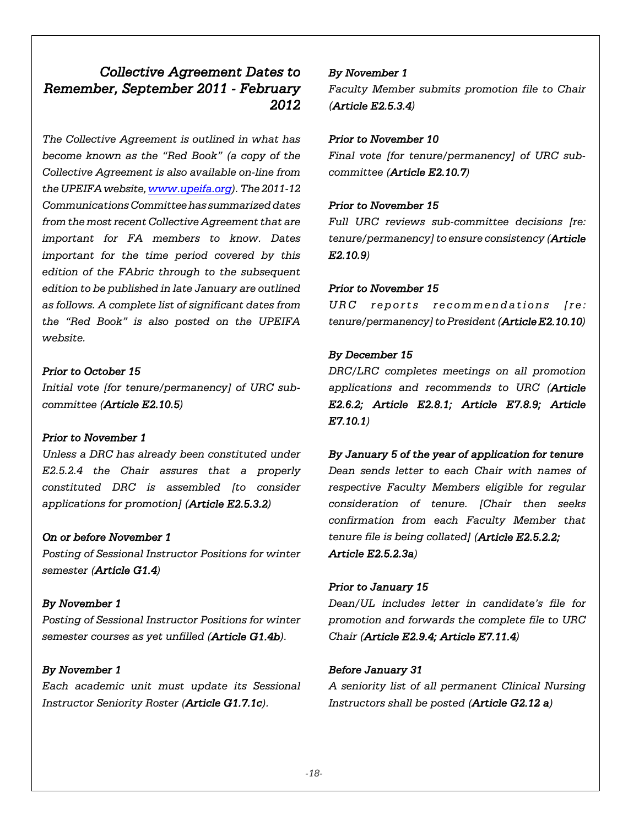# *Collective Agreement Dates to Remember, September 2011 - February 2012*

*The Collective Agreement is outlined in what has become known as the "Red Book" (a copy of the Collective Agreement is also available on-line from the UPEIFA website, www.upeifa.org). The 2011-12 Communications Committee has summarized dates from the most recent Collective Agreement that are important for FA members to know. Dates important for the time period covered by this edition of the FAbric through to the subsequent edition to be published in late January are outlined as follows. A complete list of significant dates from the "Red Book" is also posted on the UPEIFA website.*

### *Prior to October 15*

*Initial vote [for tenure/permanency] of URC subcommittee (Article E2.10.5)*

### *Prior to November 1*

*Unless a DRC has already been constituted under E2.5.2.4 the Chair assures that a properly constituted DRC is assembled [to consider applications for promotion] (Article E2.5.3.2)*

### *On or before November 1*

*Posting of Sessional Instructor Positions for winter semester (Article G1.4)*

### *By November 1*

*Posting of Sessional Instructor Positions for winter semester courses as yet unfilled (Article G1.4b).*

### *By November 1*

*Each academic unit must update its Sessional Instructor Seniority Roster (Article G1.7.1c).*

#### *By November 1*

*Faculty Member submits promotion file to Chair (Article E2.5.3.4)*

#### *Prior to November 10*

*Final vote [for tenure/permanency] of URC subcommittee (Article E2.10.7)*

#### *Prior to November 15*

*Full URC reviews sub-committee decisions [re: tenure/permanency] to ensure consistency (Article E2.10.9)*

#### *Prior to November 15*

*URC reports recommendations [re: tenure/permanency] to President (Article E2.10.10)*

#### *By December 15*

*DRC/LRC completes meetings on all promotion applications and recommends to URC (Article E2.6.2; Article E2.8.1; Article E7.8.9; Article E7.10.1)*

#### *By January 5 of the year of application for tenure*

*Dean sends letter to each Chair with names of respective Faculty Members eligible for regular consideration of tenure. [Chair then seeks confirmation from each Faculty Member that tenure file is being collated] (Article E2.5.2.2; Article E2.5.2.3a)*

#### *Prior to January 15*

*Dean/UL includes letter in candidate's file for promotion and forwards the complete file to URC Chair (Article E2.9.4; Article E7.11.4)*

#### *Before January 31*

*A seniority list of all permanent Clinical Nursing Instructors shall be posted (Article G2.12 a)*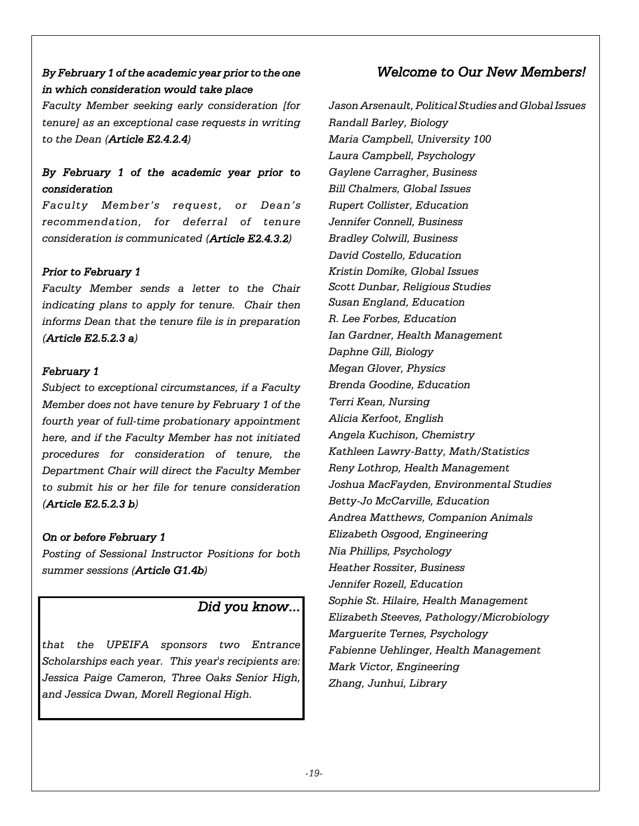## *By February 1 of the academic year prior to the one in which consideration would take place*

*Faculty Member seeking early consideration [for tenure] as an exceptional case requests in writing to the Dean (Article E2.4.2.4)*

### *By February 1 of the academic year prior to consideration*

*Faculty Member's request, or Dean's recommendation, for deferral of tenure consideration is communicated (Article E2.4.3.2)*

#### *Prior to February 1*

*Faculty Member sends a letter to the Chair indicating plans to apply for tenure. Chair then informs Dean that the tenure file is in preparation (Article E2.5.2.3 a)*

### *February 1*

*Subject to exceptional circumstances, if a Faculty Member does not have tenure by February 1 of the fourth year of full-time probationary appointment here, and if the Faculty Member has not initiated procedures for consideration of tenure, the Department Chair will direct the Faculty Member to submit his or her file for tenure consideration (Article E2.5.2.3 b)*

### *On or before February 1*

*Posting of Sessional Instructor Positions for both summer sessions (Article G1.4b)*

### *Did you know...*

*that the UPEIFA sponsors two Entrance Scholarships each year. This year's recipients are: Jessica Paige Cameron, Three Oaks Senior High, and Jessica Dwan, Morell Regional High.*

## *Welcome to Our New Members!*

*Jason Arsenault, Political Studies and Global Issues Randall Barley, Biology Maria Campbell, University 100 Laura Campbell, Psychology Gaylene Carragher, Business Bill Chalmers, Global Issues Rupert Collister, Education Jennifer Connell, Business Bradley Colwill, Business David Costello, Education Kristin Domike, Global Issues Scott Dunbar, Religious Studies Susan England, Education R. Lee Forbes, Education Ian Gardner, Health Management Daphne Gill, Biology Megan Glover, Physics Brenda Goodine, Education Terri Kean, Nursing Alicia Kerfoot, English Angela Kuchison, Chemistry Kathleen Lawry-Batty, Math/Statistics Reny Lothrop, Health Management Joshua MacFayden, Environmental Studies Betty-Jo McCarville, Education Andrea Matthews, Companion Animals Elizabeth Osgood, Engineering Nia Phillips, Psychology Heather Rossiter, Business Jennifer Rozell, Education Sophie St. Hilaire, Health Management Elizabeth Steeves, Pathology/Microbiology Marguerite Ternes, Psychology Fabienne Uehlinger, Health Management Mark Victor, Engineering Zhang, Junhui, Library*